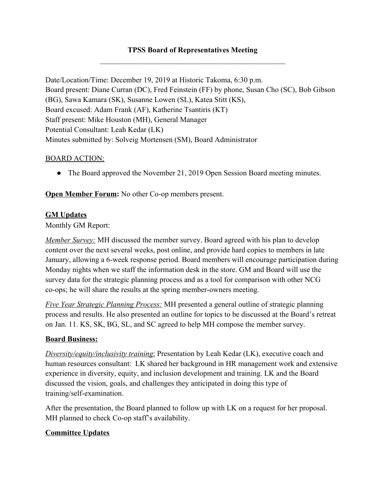# **TPSS Board of Representatives Meeting**  $\mathcal{L}_\text{max}$  and  $\mathcal{L}_\text{max}$  and  $\mathcal{L}_\text{max}$  and  $\mathcal{L}_\text{max}$  and  $\mathcal{L}_\text{max}$

Date/Location/Time: December 19, 2019 at Historic Takoma, 6:30 p.m. Board present: Diane Curran (DC), Fred Feinstein (FF) by phone, Susan Cho (SC), Bob Gibson (BG), Sawa Kamara (SK), Susanne Lowen (SL), Katea Stitt (KS), Board excused: Adam Frank (AF), Katherine Tsantiris (KT) Staff present: Mike Houston (MH), General Manager Potential Consultant: Leah Kedar (LK) Minutes submitted by: Solveig Mortensen (SM), Board Administrator

#### BOARD ACTION:

• The Board approved the November 21, 2019 Open Session Board meeting minutes.

**Open Member Forum:** No other Co-op members present.

## **GM Updates**

Monthly GM Report:

*Member Survey:* MH discussed the member survey. Board agreed with his plan to develop content over the next several weeks, post online, and provide hard copies to members in late January, allowing a 6-week response period. Board members will encourage participation during Monday nights when we staff the information desk in the store. GM and Board will use the survey data for the strategic planning process and as a tool for comparison with other NCG co-ops; he will share the results at the spring member-owners meeting.

*Five Year Strategic Planning Process:* MH presented a general outline of strategic planning process and results. He also presented an outline for topics to be discussed at the Board's retreat on Jan. 11. KS, SK, BG, SL, and SC agreed to help MH compose the member survey.

#### **Board Business:**

*Diversity/equity/inclusivity training*: Presentation by Leah Kedar (LK), executive coach and human resources consultant: LK shared her background in HR management work and extensive experience in diversity, equity, and inclusion development and training. LK and the Board discussed the vision, goals, and challenges they anticipated in doing this type of training/self-examination.

After the presentation, the Board planned to follow up with LK on a request for her proposal. MH planned to check Co-op staff's availability.

## **Committee Updates**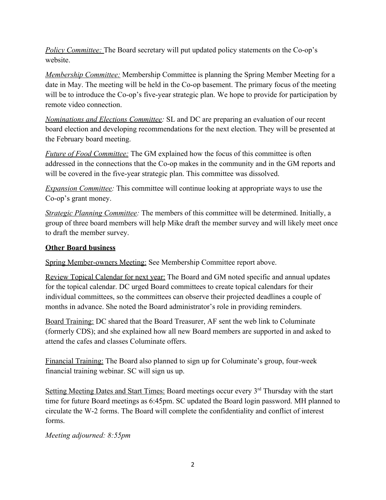*Policy Committee:* The Board secretary will put updated policy statements on the Co-op's website.

*Membership Committee:* Membership Committee is planning the Spring Member Meeting for a date in May. The meeting will be held in the Co-op basement. The primary focus of the meeting will be to introduce the Co-op's five-year strategic plan. We hope to provide for participation by remote video connection.

*Nominations and Elections Committee:* SL and DC are preparing an evaluation of our recent board election and developing recommendations for the next election. They will be presented at the February board meeting.

*Future of Food Committee:* The GM explained how the focus of this committee is often addressed in the connections that the Co-op makes in the community and in the GM reports and will be covered in the five-year strategic plan. This committee was dissolved.

*Expansion Committee:* This committee will continue looking at appropriate ways to use the Co-op's grant money.

*Strategic Planning Committee:* The members of this committee will be determined. Initially, a group of three board members will help Mike draft the member survey and will likely meet once to draft the member survey.

# **Other Board business**

Spring Member-owners Meeting: See Membership Committee report above.

Review Topical Calendar for next year: The Board and GM noted specific and annual updates for the topical calendar. DC urged Board committees to create topical calendars for their individual committees, so the committees can observe their projected deadlines a couple of months in advance. She noted the Board administrator's role in providing reminders.

Board Training: DC shared that the Board Treasurer, AF sent the web link to Columinate (formerly CDS); and she explained how all new Board members are supported in and asked to attend the cafes and classes Columinate offers.

Financial Training: The Board also planned to sign up for Columinate's group, four-week financial training webinar. SC will sign us up.

Setting Meeting Dates and Start Times: Board meetings occur every 3<sup>rd</sup> Thursday with the start time for future Board meetings as 6:45pm. SC updated the Board login password. MH planned to circulate the W-2 forms. The Board will complete the confidentiality and conflict of interest forms.

*Meeting adjourned: 8:55pm*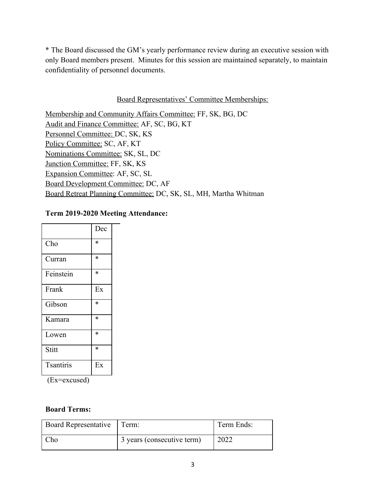\* The Board discussed the GM's yearly performance review during an executive session with only Board members present. Minutes for this session are maintained separately, to maintain confidentiality of personnel documents.

#### Board Representatives' Committee Memberships:

Membership and Community Affairs Committee: FF, SK, BG, DC Audit and Finance Committee: AF, SC, BG, KT Personnel Committee: DC, SK, KS Policy Committee: SC, AF, KT Nominations Committee: SK, SL, DC Junction Committee: FF, SK, KS Expansion Committee: AF, SC, SL Board Development Committee: DC, AF Board Retreat Planning Committee: DC, SK, SL, MH, Martha Whitman

## **Term 2019-2020 Meeting Attendance:**

|                  | Dec    |
|------------------|--------|
| Cho              | $\ast$ |
| Curran           | $\ast$ |
| Feinstein        | $\ast$ |
| Frank            | Ex     |
| Gibson           | $\ast$ |
| Kamara           | $\ast$ |
| Lowen            | $\ast$ |
| Stitt            | $\ast$ |
| <b>Tsantiris</b> | Ex     |

(Ex=excused)

## **Board Terms:**

| Board Representative   Term: |                            | Term Ends: |
|------------------------------|----------------------------|------------|
| Cho                          | 3 years (consecutive term) | 2022       |